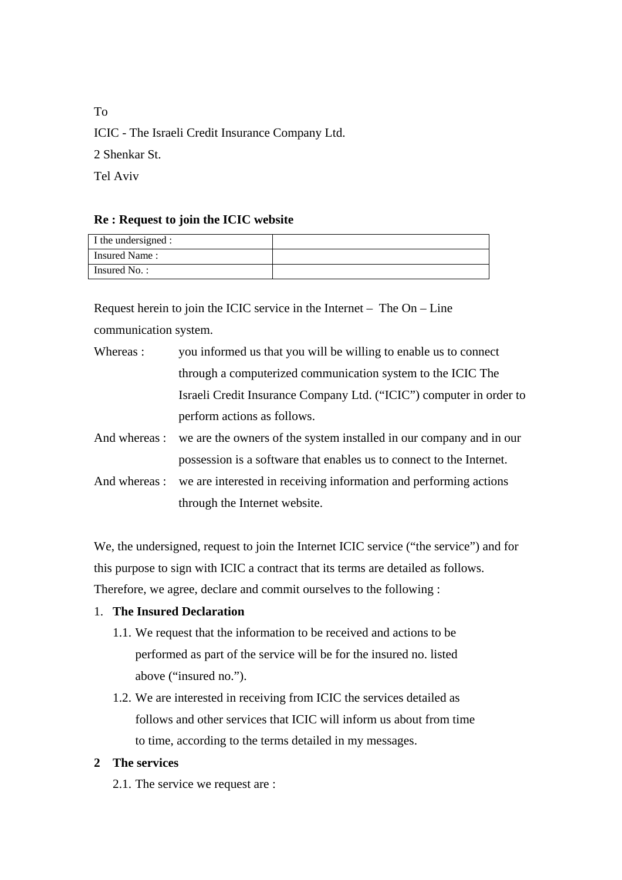To ICIC - The Israeli Credit Insurance Company Ltd. 2 Shenkar St. Tel Aviv

# **Re : Request to join the ICIC website**

| I the undersigned : |  |
|---------------------|--|
| Insured Name:       |  |
| Insured No.:        |  |

Request herein to join the ICIC service in the Internet – The On – Line communication system.

| Whereas : | you informed us that you will be willing to enable us to connect    |
|-----------|---------------------------------------------------------------------|
|           | through a computerized communication system to the ICIC The         |
|           | Israeli Credit Insurance Company Ltd. ("ICIC") computer in order to |
|           | perform actions as follows.                                         |
|           |                                                                     |

And whereas : we are the owners of the system installed in our company and in our possession is a software that enables us to connect to the Internet.

And whereas : we are interested in receiving information and performing actions through the Internet website.

We, the undersigned, request to join the Internet ICIC service ("the service") and for this purpose to sign with ICIC a contract that its terms are detailed as follows. Therefore, we agree, declare and commit ourselves to the following :

# 1. **The Insured Declaration**

- 1.1. We request that the information to be received and actions to be performed as part of the service will be for the insured no. listed above ("insured no.").
- 1.2. We are interested in receiving from ICIC the services detailed as follows and other services that ICIC will inform us about from time to time, according to the terms detailed in my messages.

# **2 The services**

2.1. The service we request are :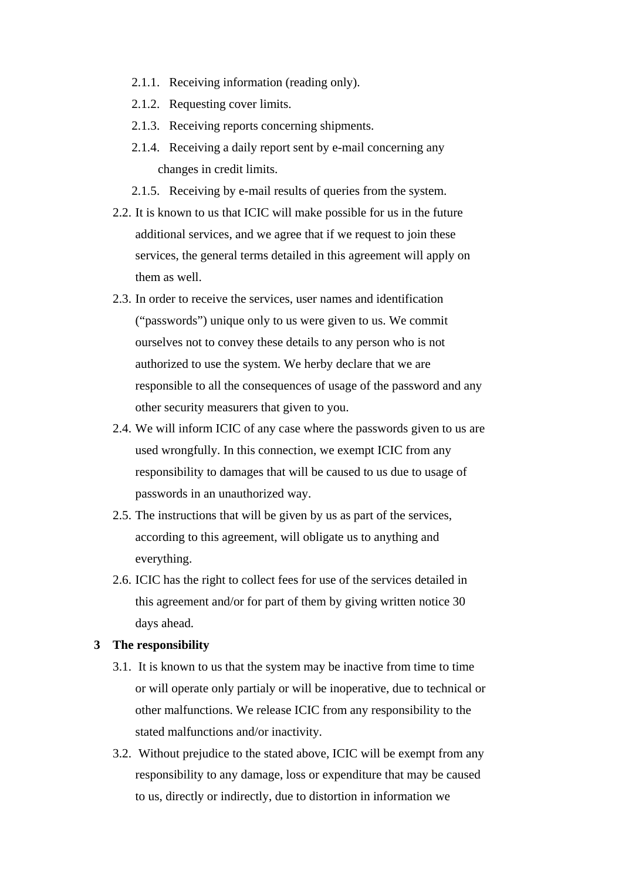- 2.1.1. Receiving information (reading only).
- 2.1.2. Requesting cover limits.
- 2.1.3. Receiving reports concerning shipments.
- 2.1.4. Receiving a daily report sent by e-mail concerning any changes in credit limits.
- 2.1.5. Receiving by e-mail results of queries from the system.
- 2.2. It is known to us that ICIC will make possible for us in the future additional services, and we agree that if we request to join these services, the general terms detailed in this agreement will apply on them as well.
- 2.3. In order to receive the services, user names and identification ("passwords") unique only to us were given to us. We commit ourselves not to convey these details to any person who is not authorized to use the system. We herby declare that we are responsible to all the consequences of usage of the password and any other security measurers that given to you.
- 2.4. We will inform ICIC of any case where the passwords given to us are used wrongfully. In this connection, we exempt ICIC from any responsibility to damages that will be caused to us due to usage of passwords in an unauthorized way.
- 2.5. The instructions that will be given by us as part of the services, according to this agreement, will obligate us to anything and everything.
- 2.6. ICIC has the right to collect fees for use of the services detailed in this agreement and/or for part of them by giving written notice 30 days ahead.

#### **3 The responsibility**

- 3.1. It is known to us that the system may be inactive from time to time or will operate only partialy or will be inoperative, due to technical or other malfunctions. We release ICIC from any responsibility to the stated malfunctions and/or inactivity.
- 3.2. Without prejudice to the stated above, ICIC will be exempt from any responsibility to any damage, loss or expenditure that may be caused to us, directly or indirectly, due to distortion in information we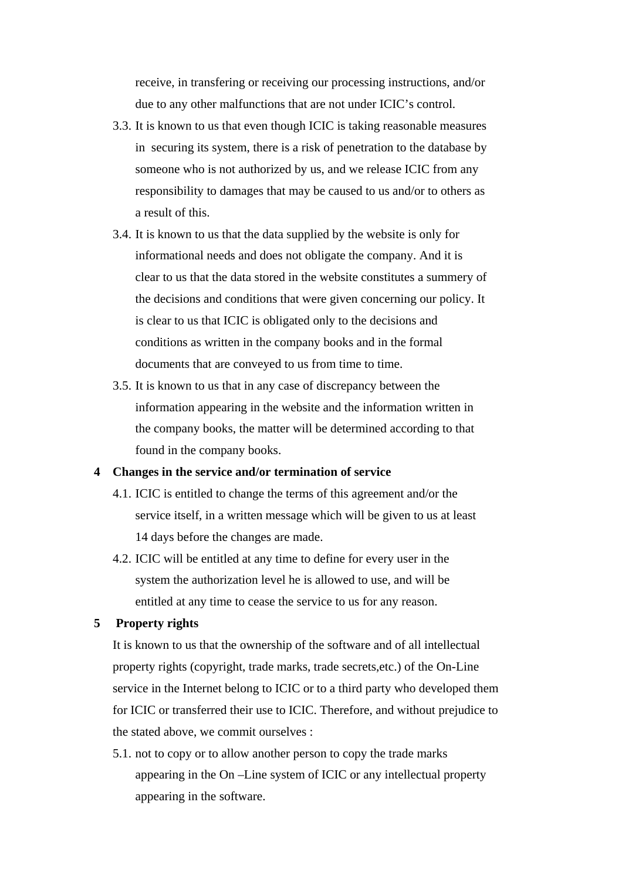receive, in transfering or receiving our processing instructions, and/or due to any other malfunctions that are not under ICIC's control.

- 3.3. It is known to us that even though ICIC is taking reasonable measures in securing its system, there is a risk of penetration to the database by someone who is not authorized by us, and we release ICIC from any responsibility to damages that may be caused to us and/or to others as a result of this.
- 3.4. It is known to us that the data supplied by the website is only for informational needs and does not obligate the company. And it is clear to us that the data stored in the website constitutes a summery of the decisions and conditions that were given concerning our policy. It is clear to us that ICIC is obligated only to the decisions and conditions as written in the company books and in the formal documents that are conveyed to us from time to time.
- 3.5. It is known to us that in any case of discrepancy between the information appearing in the website and the information written in the company books, the matter will be determined according to that found in the company books.

### **4 Changes in the service and/or termination of service**

- 4.1. ICIC is entitled to change the terms of this agreement and/or the service itself, in a written message which will be given to us at least 14 days before the changes are made.
- 4.2. ICIC will be entitled at any time to define for every user in the system the authorization level he is allowed to use, and will be entitled at any time to cease the service to us for any reason.

## **5 Property rights**

It is known to us that the ownership of the software and of all intellectual property rights (copyright, trade marks, trade secrets,etc.) of the On-Line service in the Internet belong to ICIC or to a third party who developed them for ICIC or transferred their use to ICIC. Therefore, and without prejudice to the stated above, we commit ourselves :

5.1. not to copy or to allow another person to copy the trade marks appearing in the On –Line system of ICIC or any intellectual property appearing in the software.